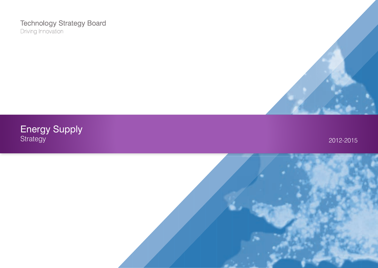## **Technology Strategy Board** Driving Innovation



Energy Supply Strategy 2012-2015

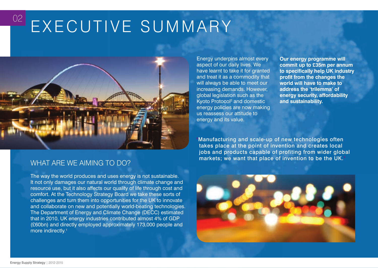# EXECUTIVE SUMMARY



## WHAT ARE WE AIMING TO DO?

The way the world produces and uses energy is not sustainable. It not only damages our natural world through climate change and resource use, but it also affects our quality of life through cost and comfort. At the Technology Strategy Board we take these sorts of challenges and turn them into opportunities for the UK to innovate and collaborate on new and potentially world-beating technologies. The Department of Energy and Climate Change (DECC) estimated that in 2010, UK energy industries contributed almost 4% of GDP (£60bn) and directly employed approximately 173,000 people and more indirectly.<sup>1</sup>

Energy underpins almost every aspect of our daily lives. We have learnt to take it for granted and treat it as a commodity that will always be able to meet our increasing demands. However, global legislation such as the Kyoto Protocol<sup>2</sup> and domestic energy policies are now making us reassess our attitude to energy and its value.

**Our energy programme will commit up to £35m per annum**  to specifically help UK industry **profit from the changes the world will have to make to address the 'trilemma' of energy security, affordability and sustainability.**

'Manufacturing and scale-up of new technologies often takes place at the point of invention and creates local jobs and products capable of profiting from wider global markets; we want that place of invention to be the UK.'



02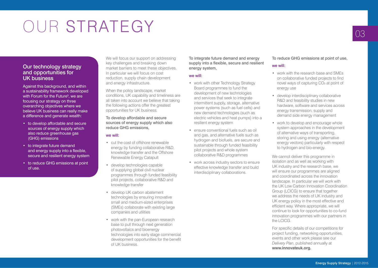## OUR STRATEGY

## Our technology strategy and opportunities for UK business

Against this background, and within a sustainability framework developed with Forum for the Future<sup>3</sup>, we are focusing our strategy on three overarching objectives where we believe UK business can really make a difference and generate wealth:

- to develop affordable and secure sources of energy supply which also reduce greenhouse gas (GHG) emissions
- to integrate future demand and energy supply into a flexible, secure and resilient energy system
- to reduce GHG emissions at point of use.

We will focus our support on addressing key challenges and breaking down market barriers to meet these objectives. In particular we will focus on cost reduction, supply chain development and energy infrastructure.

When the policy landscape, market conditions, UK capability and timeliness are all taken into account we believe that taking the following actions offer the greatest opportunities for UK business.

To develop affordable and secure sources of energy supply which also reduce GHG emissions,

#### we will:

- • cut the cost of offshore renewable energy by funding collaborative R&D, knowledge transfer and the Offshore Renewable Energy Catapult
- develop technologies capable of supplying global civil nuclear programmes through funded feasibility pilot projects, collaborative R&D and knowledge transfer
- develop UK carbon abatement technologies by ensuring innovative small and medium-sized enterprises (SMEs) collaborate with existing large companies and utilities
- work with the pan-European research base to pull through next generation photovoltaics and bioenergy technologies into early stage commercial development opportunities for the benefit of UK business.

To integrate future demand and energy supply into a flexible, secure and resilient energy system,

#### we will:

- work with other Technology Strategy Board programmes to fund the development of new technologies and services that seek to integrate intermittent supply, storage, alternative power systems (such as fuel cells) and new demand technologies (such as electric vehicles and heat pumps) into a resilient energy system
- • ensure conventional fuels such as oil and gas, and alternative fuels such as hydrogen and biofuels, are secure and sustainable through funded feasibility pilot projects and whole system collaborative R&D programmes
- work across industry sectors to ensure effective knowledge transfer and build interdisciplinary collaborations.

To reduce GHG emissions at point of use, we will:

- • work with the research base and SMEs on collaborative funded projects to find novel ways of capturing  $CO<sub>2</sub>$  at point of energy use
- develop interdisciplinary collaborative R&D and feasibility studies in new hardware, software and services across energy transmission, supply and demand side energy management
- work to develop and encourage whole system approaches in the development of alternative ways of transporting, storing and using energy (alternative energy vectors) particularly with respect to hydrogen and bio-energy.

We cannot deliver this programme in isolation and as well as working with UK industry and the research base, we will ensure our programmes are aligned and coordinated across the innovation landscape. In particular we will work with the UK Low Carbon Innovation Coordination Group (LCICG) to ensure that together we address the needs of UK industry and UK energy policy in the most effective and efficient way. Where appropriate, we will continue to look for opportunities to co-fund innovation programmes with our partners in the LCICG.

For specific details of our competitions for project funding, networking opportunities, events and other work please see our *Delivery Plan*, published annually at **[www.innovateuk.org.](http://www.innovateuk.org/)**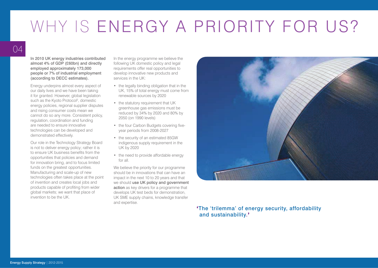## WHY IS ENERGY A PRIORITY FOR US?

In 2010 UK energy industries contributed almost 4% of GDP (£60bn) and directly employed approximately 173,000 people or 7% of industrial employment (according to DECC estimates).

Energy underpins almost every aspect of our daily lives and we have been taking it for granted. However, global legislation such as the Kyoto Protocol<sup>2</sup>, domestic energy policies, regional supplier disputes and rising consumer costs mean we cannot do so any more. Consistent policy, regulation, coordination and funding are needed to ensure innovative technologies can be developed and demonstrated effectively.

Our role in the Technology Strategy Board is not to deliver energy policy; rather it is to ensure UK business benefits from the opportunities that policies and demand for innovation bring, and to focus limited funds on the greatest opportunities. Manufacturing and scale-up of new technologies often takes place at the point of invention and creates local jobs and products capable of profiting from wider global markets; we want that place of invention to be the UK.

In the energy programme we believe the following UK domestic policy and legal requirements offer real opportunities to develop innovative new products and services in the UK:

- the legally binding obligation that in the UK, 15% of total energy must come from renewable sources by 2020
- the statutory requirement that UK greenhouse gas emissions must be reduced by 34% by 2020 and 80% by 2050 (on 1990 levels)
- the four Carbon Budgets covering fiveyear periods from 2008-2027
- the security of an estimated 85GW indigenous supply requirement in the UK by 2020
- the need to provide affordable energy for all.

We believe the priority for our programme should be in innovations that can have an impact in the next 10 to 20 years and that we should use UK policy and government action as key drivers for a programme that develops UK test beds for demonstration, UK SME supply chains, knowledge transfer and expertise.



'The 'trilemma' of energy security, affordability and sustainability.'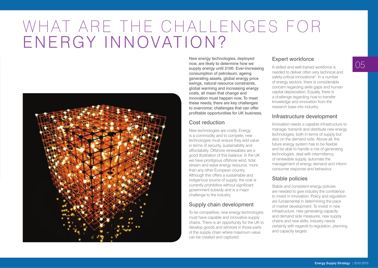## WHAT ARE THE CHALLENGES FOR ENERGY INNOVATION?



New energy technologies, deployed now, are likely to determine how we supply energy until 2100. Ever-increasing consumption of petroleum, ageing generating assets, global energy price swings, natural resource constraints, global warming and increasing energy costs, all mean that change and innovation must happen now. To meet these needs, there are key challenges to overcome; challenges that can offer profitable opportunities for UK business.

## Cost reduction

New technologies are costly. Energy is a commodity and to compete, new technologies must ensure they add value in terms of security, sustainability and affordability. Offshore renewables are a good illustration of this balance. In the UK we have prodigious offshore wind, tidal stream and wave energy resource, more than any other European country. Although this offers a sustainable and indigenous source of supply, the cost is currently prohibitive without significant government subsidy and is a major challenge to the industry.

## Supply chain development

To be competitive, new energy technologies must have capable and innovative supply chains. There is an opportunity for the UK to develop goods and services in those parts of the supply chain where maximum value can be created and captured.

## Expert workforce

A skilled and well-trained workforce is needed to deliver often very technical and safety-critical innovations<sup>4</sup>. In a number of energy sectors, there is considerable concern regarding skills gaps and human capital depreciation. Equally, there is a challenge regarding how to transfer knowledge and innovation from the research base into industry.

## Infrastructure development

Innovation needs a capable infrastructure to manage, transmit and distribute new energy technologies, both in terms of supply but also on the demand side. Above all, the future energy system has to be flexible and be able to handle a mix of generating technologies, deal with intermittency of renewable supply, automate the management of energy demand and inform consumer response and behaviour.

## Stable policies

Stable and consistent energy policies are needed to give industry the confidence to invest in innovation. Policy and regulation are fundamental in determining the pace of market development. To invest in new infrastructure, new generating capacity and demand side measures, new supply chains and new skills, industry needs certainty with regards to regulation, planning and capacity targets.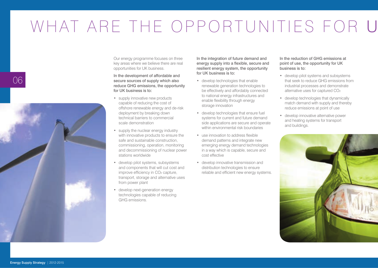## WHAT ARE THE OPPORTUNITIES FOR U

Our energy programme focuses on three key areas where we believe there are real opportunities for UK business.

#### In the development of affordable and secure sources of supply which also reduce GHG emissions, the opportunity for UK business is to:

- supply innovative new products capable of reducing the cost of offshore renewable energy and de-risk deployment by breaking down technical barriers to commercial scale demonstration
- supply the nuclear energy industry with innovative products to ensure the safe and sustainable construction, commissioning, operation, monitoring and decommissioning of nuclear power stations worldwide
- develop pilot systems, subsystems and components that will cut cost and improve efficiency in CO<sub>2</sub> capture, transport, storage and alternative uses from power plant
- develop next-generation energy technologies capable of reducing GHG emissions.

In the integration of future demand and energy supply into a flexible, secure and resilient energy system, the opportunity for UK business is to:

- develop technologies that enable renewable generation technologies to be effectively and affordably connected to national energy infrastructures and enable flexibility through energy storage innovation
- • develop technologies that ensure fuel systems for current and future demand side applications are secure and operate within environmental risk boundaries
- use innovation to address flexible demand patterns and integrate new emerging energy demand technologies in a way which is capable, secure and cost effective
- develop innovative transmission and distribution technologies to ensure reliable and efficient new energy systems.

In the reduction of GHG emissions at point of use, the opportunity for UK business is to:

- • develop pilot systems and subsystems that seek to reduce GHG emissions from industrial processes and demonstrate alternative uses for captured CO2
- • develop technologies that dynamically match demand with supply and thereby reduce emissions at point of use
- • develop innovative alternative power and heating systems for transport and buildings.



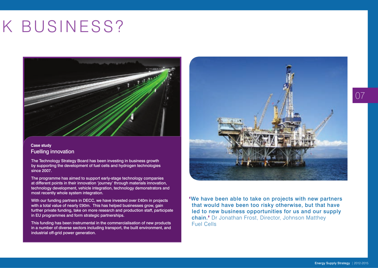## K BUSINESS?



### **Case study** Fuelling innovation

The Technology Strategy Board has been investing in business growth by supporting the development of fuel cells and hydrogen technologies since 2007.

The programme has aimed to support early-stage technology companies at different points in their innovation 'journey' through materials innovation, technology development, vehicle integration, technology demonstrators and most recently whole system integration.

With our funding partners in DECC, we have invested over £40m in projects with a total value of nearly £90m. This has helped businesses grow, gain further private funding, take on more research and production staff, participate in EU programmes and form strategic partnerships.

This funding has been instrumental in the commercialisation of new products in a number of diverse sectors including transport, the built environment, and industrial off-grid power generation.



'We have been able to take on projects with new partners that would have been too risky otherwise, but that have led to new business opportunities for us and our supply chain.' Dr Jonathan Frost, Director, Johnson Matthey Fuel Cells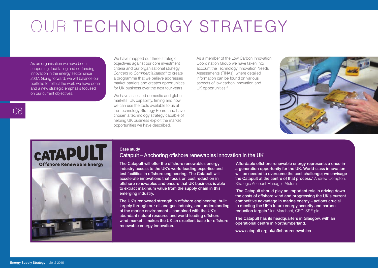## OUR TECHNOLOGY STRATEGY

As an organisation we have been supporting, facilitating and co-funding innovation in the energy sector since 2007. Going forward, we will balance our portfolio to reflect the work we have done and a new strategic emphasis focused on our current objectives.

We have mapped our three strategic objectives against our core investment criteria and our organisational strategy *Concept to Commercialisation*<sup>5</sup> to create a programme that we believe addresses market barriers and creates opportunities for UK business over the next four years.

We have assessed domestic and global markets, UK capability, timing and how we can use the tools available to us at the Technology Strategy Board, and have chosen a technology strategy capable of helping UK business exploit the market opportunities we have described.

As a member of the Low Carbon Innovation Coordination Group we have taken into account the Technology Innovation Needs Assessments (TINAs), where detailed information can be found on various aspects of low carbon innovation and UK opportunities.<sup>6</sup>





#### **Case study**

### Catapult – Anchoring offshore renewables innovation in the UK

The Catapult will offer the offshore renewables energy industry access to the UK's world-leading expertise and test facilities in offshore engineering. The Catapult will accelerate innovations that focus on cost reduction in offshore renewables and ensure that UK business is able to extract maximum value from the supply chain in this emerging industry.

The UK's renowned strength in offshore engineering, built largely through our oil and gas industry, and understanding of the marine environment – combined with the UK's abundant natural resource and world-leading offshore wind market – makes the UK an excellent base for offshore renewable energy innovation.

'Affordable offshore renewable energy represents a once-ina-generation opportunity for the UK. World-class innovation will be needed to overcome the cost challenge; we envisage the Catapult at the centre of that process.' Andrew Compton, Strategic Account Manager, Alstom

'The Catapult should play an important role in driving down the costs of offshore wind and progressing the UK's current competitive advantage in marine energy – actions crucial to meeting the UK's future energy security and carbon reduction targets.' Ian Marchant, CEO, SSE plc

The Catapult has its headquarters in Glasgow, with an operational centre in Northumberland.

[www.catapult.org.uk/offshorerenewables](https://catapult.innovateuk.org/offshore-renewable-energy)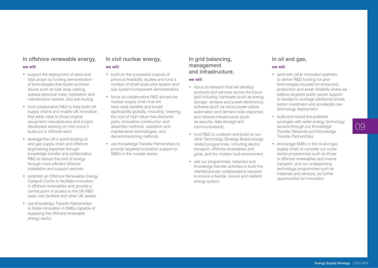## In offshore renewable energy,

#### we will:

- support the deployment of wave and tidal arrays by funding demonstration of technologies that tackle common issues such as tidal array cabling, subsea electrical hubs, installation and maintenance vessels, and anti-fouling
- fund collaborative R&D to help build UK supply chains and enable UK innovation that adds value to those original equipment manufacturers and project developers working on mid round 3 build-out in offshore wind
- leverage the UK's world-leading oil and gas supply chain and offshore engineering expertise through knowledge transfer and collaborative R&D to reduce the cost of energy through more efficient offshore installation and support services
- establish an Offshore Renewable Energy Catapult Centre to facilitate innovation in offshore renewables and provide a central point of access to the UK R&D base, test facilities and other UK assets
- use Knowledge Transfer Partnerships to foster innovation in SMEs capable of supplying the offshore renewable energy sector.

## In civil nuclear energy,

### we will:

- build on the successful outputs of previous feasibility studies and fund a number of small scale pilot system and sub-system/component demonstrators
- focus on collaborative R&D across the nuclear supply chain that will have wide benefits and broad applicability globally, including: lowering the cost of high value manufactured parts, innovative construction and assembly methods, operation and maintenance technologies, and decommissioning methods
- • use Knowledge Transfer Partnerships to provide targeted innovation support to SMEs in the nuclear sector.

## In grid balancing, management and infrastructure,

#### we will:

- focus on research that will develop products and services across the future grid including: hardware (such as energy storage, sensors and power electronics), software (such as virtual power plants, automation and demand side response) and network infrastructure (such as security, data storage and communications)
- fund R&D to underpin and build on our other Technology Strategy Board energyrelated programmes, including electric transport, offshore renewables and grids, and the modern built environment
- use our programmes, networks and knowledge transfer activities to build the interdisciplinary collaborations required to ensure a flexible, secure and resilient energy system.

## In oil and gas,

### we will:

- work with other innovation partners to deliver R&D funding for pilot technologies focused on enhanced production and asset reliability where we believe targeted public sector support is needed to leverage additional private sector investment and accelerate new technology deployment
- build and exploit the potential synergies with wider energy technology sectors through our Knowledge Transfer Networks and Knowledge Transfer Partnerships
- encourage SMEs in the oil and gas supply chain to consider our crosssector programmes such as those in offshore renewables and marine transport, and our underpinning technology programmes such as materials and sensors, as further opportunities for innovation.

09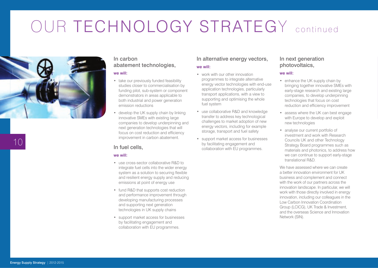## OUR TECHNOLOGY STRATEGY continued



## In carbon abatement technologies,

#### we will:

- take our previously funded feasibility studies closer to commercialisation by funding pilot, sub-system or component demonstrators in areas applicable to both industrial and power generation emission reductions
- develop the UK supply chain by linking innovative SMEs with existing large companies to develop underpinning and next generation technologies that will focus on cost reduction and efficiency improvement in carbon abatement.

### In fuel cells,

#### we will:

- use cross-sector collaborative R&D to integrate fuel cells into the wider energy system as a solution to securing flexible and resilient energy supply and reducing emissions at point of energy use
- fund R&D that supports cost reduction and performance improvement through developing manufacturing processes and supporting next generation technologies in UK supply chains
- • support market access for businesses by facilitating engagement and collaboration with EU programmes.

## In alternative energy vectors,

### we will:

- work with our other innovation programmes to integrate alternative energy vector technologies with end-use application technologies, particularly transport applications, with a view to supporting and optimising the whole fuel system
- use collaborative R&D and knowledge transfer to address key technological challenges to market adoption of new energy vectors, including for example storage, transport and fuel safety
- • support market access for businesses by facilitating engagement and collaboration with EU programmes.

## In next generation photovoltaics,

#### we will:

- enhance the UK supply chain by bringing together innovative SMEs with early-stage research and existing large companies, to develop underpinning technologies that focus on cost reduction and efficiency improvement
- assess where the UK can best engage with Europe to develop and exploit new technologies
- analyse our current portfolio of investment and work with Research Councils UK and other Technology Strategy Board programmes such as materials and photonics, to address how we can continue to support early-stage translational R&D.

We have assessed where we can create a better innovation environment for UK business and complement and connect with the work of our partners across the innovation landscape. In particular, we will work with those directly involved in energy innovation, including our colleagues in the Low Carbon Innovation Coordination Group (LCICG), UK Trade & Investment, and the overseas Science and Innovation Network (SIN).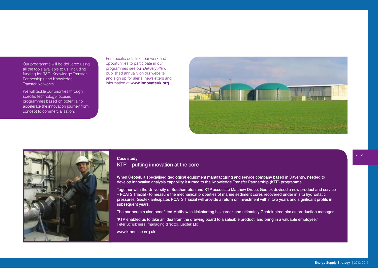Our programme will be delivered using all the tools available to us, including funding for R&D, Knowledge Transfer Partnerships and Knowledge Transfer Networks.

We will tackle our priorities through specific technology-focused programmes based on potential to accelerate the innovation journey from concept to commercialisation.

For specific details of our work and opportunities to participate in our programmes see our *Delivery Plan*, published annually on our website, and sign up for alerts, newsletters and information at **[www.innovateuk.org](http://www.innovateuk.org/)**





## **Case study**

KTP – putting innovation at the core

When Geotek, a specialised geological equipment manufacturing and service company based in Daventry, needed to develop innovative analysis capability it turned to the Knowledge Transfer Partnership (KTP) programme.

Together with the University of Southampton and KTP associate Matthew Druce, Geotek devised a new product and service – PCATS Triaxial - to measure the mechanical properties of marine sediment cores recovered under in situ hydrostatic pressures. Geotek anticipates PCATS Triaxial will provide a return on investment within two vears and significant profits in subsequent years.

The partnership also benefitted Matthew in kickstarting his career, and ultimately Geotek hired him as production manager.

'KTP enabled us to take an idea from the drawing board to a saleable product, and bring in a valuable employee.' Peter Schultheiss, managing director, Geotek Ltd

[www.ktponline.org.uk](http://www.ktponline.org.uk/)